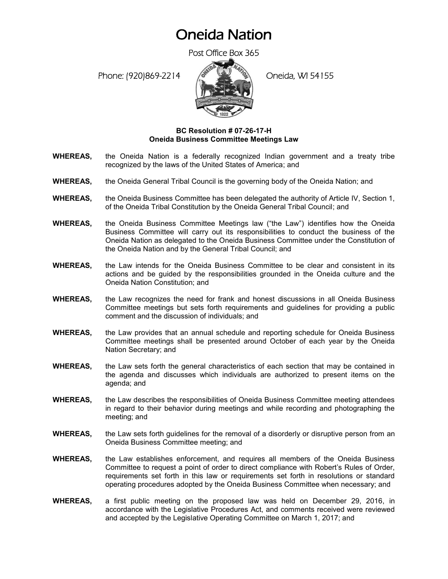## Oneida Nation

Post Office Box 365

Phone: (920)869-2214 (Oneida, WI 54155



## **BC Resolution # 07-26-17-H Oneida Business Committee Meetings Law**

- **WHEREAS,** the Oneida Nation is a federally recognized Indian government and a treaty tribe recognized by the laws of the United States of America; and
- **WHEREAS,** the Oneida General Tribal Council is the governing body of the Oneida Nation; and
- **WHEREAS,** the Oneida Business Committee has been delegated the authority of Article IV, Section 1, of the Oneida Tribal Constitution by the Oneida General Tribal Council; and
- **WHEREAS,** the Oneida Business Committee Meetings law ("the Law") identifies how the Oneida Business Committee will carry out its responsibilities to conduct the business of the Oneida Nation as delegated to the Oneida Business Committee under the Constitution of the Oneida Nation and by the General Tribal Council; and
- **WHEREAS,** the Law intends for the Oneida Business Committee to be clear and consistent in its actions and be guided by the responsibilities grounded in the Oneida culture and the Oneida Nation Constitution; and
- **WHEREAS,** the Law recognizes the need for frank and honest discussions in all Oneida Business Committee meetings but sets forth requirements and guidelines for providing a public comment and the discussion of individuals; and
- **WHEREAS,** the Law provides that an annual schedule and reporting schedule for Oneida Business Committee meetings shall be presented around October of each year by the Oneida Nation Secretary; and
- **WHEREAS,** the Law sets forth the general characteristics of each section that may be contained in the agenda and discusses which individuals are authorized to present items on the agenda; and
- **WHEREAS,** the Law describes the responsibilities of Oneida Business Committee meeting attendees in regard to their behavior during meetings and while recording and photographing the meeting; and
- **WHEREAS,** the Law sets forth guidelines for the removal of a disorderly or disruptive person from an Oneida Business Committee meeting; and
- **WHEREAS,** the Law establishes enforcement, and requires all members of the Oneida Business Committee to request a point of order to direct compliance with Robert's Rules of Order, requirements set forth in this law or requirements set forth in resolutions or standard operating procedures adopted by the Oneida Business Committee when necessary; and
- **WHEREAS,** a first public meeting on the proposed law was held on December 29, 2016, in accordance with the Legislative Procedures Act, and comments received were reviewed and accepted by the Legislative Operating Committee on March 1, 2017; and